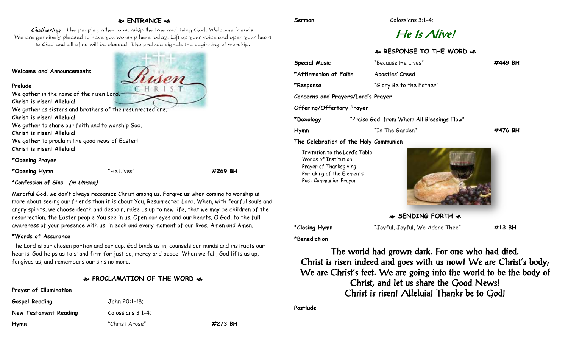## **ENTRANCE**

Gathering - The people gather to worship the true and living God. Welcome friends. We are genuinely pleased to have you worship here today. Lift up your voice and open your heart to God and all of us will be blessed. The prelude signals the beginning of worship.

#### **Welcome and Announcements**

**Prelude**

We gather in the name of the risen Lord. **Christ is risen! Alleluia!**

We gather as sisters and brothers of the resurrected one.

**Christ is risen! Alleluia!**

We gather to share our faith and to worship God.

**Christ is risen! Alleluia!**

We gather to proclaim the good news of Easter! **Christ is risen! Alleluia!**

**\*Opening Prayer**

**\*Opening Hymn** "He Lives" **#269 BH**

#### **\*Confession of Sins (in Unison)**

Merciful God, we don't always recognize Christ among us. Forgive us when coming to worship is more about seeing our friends than it is about You, Resurrected Lord. When, with fearful souls and angry spirits, we choose death and despair, raise us up to new life, that we may be children of the resurrection, the Easter people You see in us. Open our eyes and our hearts, O God, to the full awareness of your presence with us, in each and every moment of our lives. Amen and Amen.

#### **\*Words of Assurance**

The Lord is our chosen portion and our cup. God binds us in, counsels our minds and instructs our hearts. God helps us to stand firm for justice, mercy and peace. When we fall, God lifts us up, forgives us, and remembers our sins no more.

#### **PROCLAMATION OF THE WORD**

#### **Prayer of Illumination**

| <b>Gospel Reading</b> | John 20:1-18:     |         |
|-----------------------|-------------------|---------|
| New Testament Reading | Colossians 3:1-4: |         |
| Hymn                  | "Christ Arose"    | #273 BH |

# He Is Alive!

### **RESPONSE TO THE WORD**

| <b>Special Music</b>               | "Because He Lives"                         | #449 BH |  |
|------------------------------------|--------------------------------------------|---------|--|
| *Affirmation of Faith              | Apostles' Creed                            |         |  |
| *Response                          | "Glory Be to the Father"                   |         |  |
| Concerns and Prayers/Lord's Prayer |                                            |         |  |
| Offering/Offertory Prayer          |                                            |         |  |
| *Doxology                          | "Praise God, from Whom All Blessings Flow" |         |  |
| Hymn                               | "In The Garden"                            | #476 BH |  |

**The Celebration of the Holy Communion**

Invitation to the Lord's Table Words of Institution Prayer of Thanksgiving Partaking of the Elements Post Communion Prayer



**SENDING FORTH**  $\approx$ 

**\*Closing Hymn** "Joyful, Joyful, We Adore Thee" **#13 BH**

**\*Benediction**

The world had grown dark. For one who had died. Christ is risen indeed and goes with us now! We are Christ's body; We are Christ's feet. We are going into the world to be the body of Christ, and let us share the Good News! Christ is risen! Alleluia! Thanks be to God!

**Postlude**